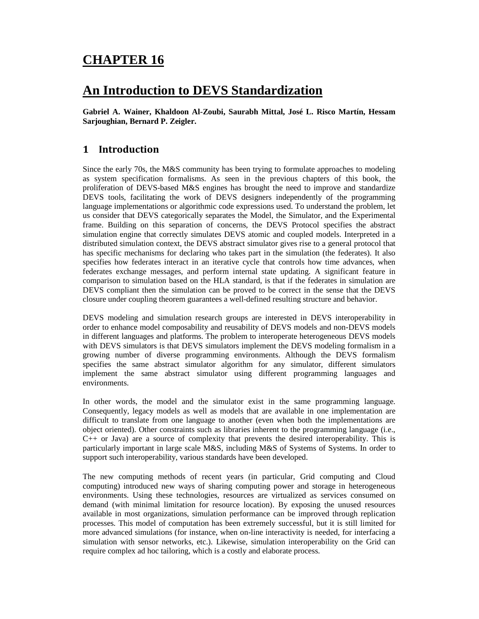# **CHAPTER 16**

# **An Introduction to DEVS Standardization**

**Gabriel A. Wainer, Khaldoon Al-Zoubi, Saurabh Mittal, José L. Risco Martín, Hessam Sarjoughian, Bernard P. Zeigler.** 

# **1 Introduction**

Since the early 70s, the M&S community has been trying to formulate approaches to modeling as system specification formalisms. As seen in the previous chapters of this book, the proliferation of DEVS-based M&S engines has brought the need to improve and standardize DEVS tools, facilitating the work of DEVS designers independently of the programming language implementations or algorithmic code expressions used. To understand the problem, let us consider that DEVS categorically separates the Model, the Simulator, and the Experimental frame. Building on this separation of concerns, the DEVS Protocol specifies the abstract simulation engine that correctly simulates DEVS atomic and coupled models. Interpreted in a distributed simulation context, the DEVS abstract simulator gives rise to a general protocol that has specific mechanisms for declaring who takes part in the simulation (the federates). It also specifies how federates interact in an iterative cycle that controls how time advances, when federates exchange messages, and perform internal state updating. A significant feature in comparison to simulation based on the HLA standard, is that if the federates in simulation are DEVS compliant then the simulation can be proved to be correct in the sense that the DEVS closure under coupling theorem guarantees a well-defined resulting structure and behavior.

DEVS modeling and simulation research groups are interested in DEVS interoperability in order to enhance model composability and reusability of DEVS models and non-DEVS models in different languages and platforms. The problem to interoperate heterogeneous DEVS models with DEVS simulators is that DEVS simulators implement the DEVS modeling formalism in a growing number of diverse programming environments. Although the DEVS formalism specifies the same abstract simulator algorithm for any simulator, different simulators implement the same abstract simulator using different programming languages and environments.

In other words, the model and the simulator exist in the same programming language. Consequently, legacy models as well as models that are available in one implementation are difficult to translate from one language to another (even when both the implementations are object oriented). Other constraints such as libraries inherent to the programming language (i.e., C++ or Java) are a source of complexity that prevents the desired interoperability. This is particularly important in large scale M&S, including M&S of Systems of Systems. In order to support such interoperability, various standards have been developed.

The new computing methods of recent years (in particular, Grid computing and Cloud computing) introduced new ways of sharing computing power and storage in heterogeneous environments. Using these technologies, resources are virtualized as services consumed on demand (with minimal limitation for resource location). By exposing the unused resources available in most organizations, simulation performance can be improved through replication processes. This model of computation has been extremely successful, but it is still limited for more advanced simulations (for instance, when on-line interactivity is needed, for interfacing a simulation with sensor networks, etc.). Likewise, simulation interoperability on the Grid can require complex ad hoc tailoring, which is a costly and elaborate process.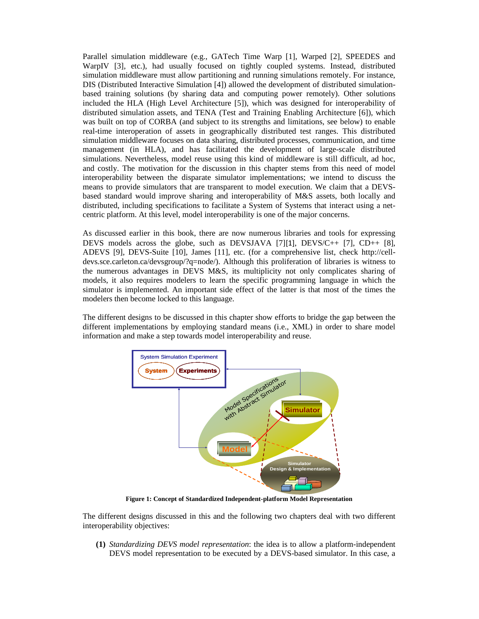Parallel simulation middleware (e.g., GATech Time Warp [1], Warped [2], SPEEDES and WarpIV [3], etc.), had usually focused on tightly coupled systems. Instead, distributed simulation middleware must allow partitioning and running simulations remotely. For instance, DIS (Distributed Interactive Simulation [4]) allowed the development of distributed simulationbased training solutions (by sharing data and computing power remotely). Other solutions included the HLA (High Level Architecture [5]), which was designed for interoperability of distributed simulation assets, and TENA (Test and Training Enabling Architecture [6]), which was built on top of CORBA (and subject to its strengths and limitations, see below) to enable real-time interoperation of assets in geographically distributed test ranges. This distributed simulation middleware focuses on data sharing, distributed processes, communication, and time management (in HLA), and has facilitated the development of large-scale distributed simulations. Nevertheless, model reuse using this kind of middleware is still difficult, ad hoc, and costly. The motivation for the discussion in this chapter stems from this need of model interoperability between the disparate simulator implementations; we intend to discuss the means to provide simulators that are transparent to model execution. We claim that a DEVSbased standard would improve sharing and interoperability of M&S assets, both locally and distributed, including specifications to facilitate a System of Systems that interact using a netcentric platform. At this level, model interoperability is one of the major concerns.

As discussed earlier in this book, there are now numerous libraries and tools for expressing DEVS models across the globe, such as DEVSJAVA [7][1], DEVS/C++ [7],  $CD++$  [8], ADEVS [9], DEVS-Suite [10], James [11], etc. (for a comprehensive list, check http://celldevs.sce.carleton.ca/devsgroup/?q=node/). Although this proliferation of libraries is witness to the numerous advantages in DEVS M&S, its multiplicity not only complicates sharing of models, it also requires modelers to learn the specific programming language in which the simulator is implemented. An important side effect of the latter is that most of the times the modelers then become locked to this language.

The different designs to be discussed in this chapter show efforts to bridge the gap between the different implementations by employing standard means (i.e., XML) in order to share model information and make a step towards model interoperability and reuse.



**Figure 1: Concept of Standardized Independent-platform Model Representation** 

The different designs discussed in this and the following two chapters deal with two different interoperability objectives:

**(1)** *Standardizing DEVS model representation*: the idea is to allow a platform-independent DEVS model representation to be executed by a DEVS-based simulator. In this case, a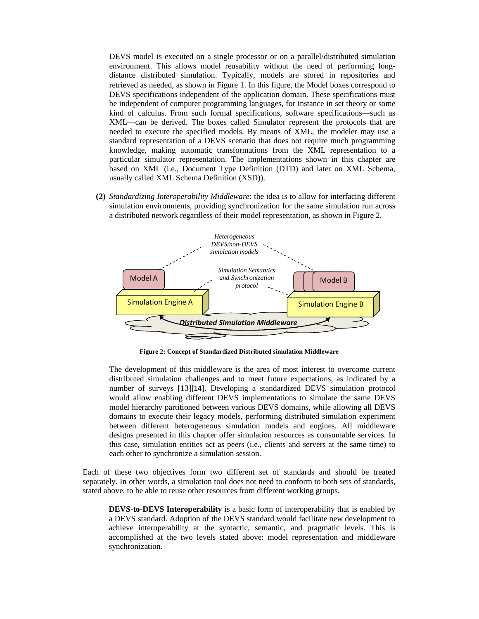DEVS model is executed on a single processor or on a parallel/distributed simulation environment. This allows model reusability without the need of performing longdistance distributed simulation. Typically, models are stored in repositories and retrieved as needed, as shown in Figure 1. In this figure, the Model boxes correspond to DEVS specifications independent of the application domain. These specifications must be independent of computer programming languages, for instance in set theory or some kind of calculus. From such formal specifications, software specifications—such as XML—can be derived. The boxes called Simulator represent the protocols that are needed to execute the specified models. By means of XML, the modeler may use a standard representation of a DEVS scenario that does not require much programming knowledge, making automatic transformations from the XML representation to a particular simulator representation. The implementations shown in this chapter are based on XML (i.e., Document Type Definition (DTD) and later on XML Schema, usually called XML Schema Definition (XSD)).

**(2)** *Standardizing Interoperability Middleware*: the idea is to allow for interfacing different simulation environments, providing synchronization for the same simulation run across a distributed network regardless of their model representation, as shown in Figure 2.



**Figure 2: Concept of Standardized Distributed simulation Middleware** 

The development of this middleware is the area of most interest to overcome current distributed simulation challenges and to meet future expectations, as indicated by a number of surveys [13][14]. Developing a standardized DEVS simulation protocol would allow enabling different DEVS implementations to simulate the same DEVS model hierarchy partitioned between various DEVS domains, while allowing all DEVS domains to execute their legacy models, performing distributed simulation experiment between different heterogeneous simulation models and engines. All middleware designs presented in this chapter offer simulation resources as consumable services. In this case, simulation entities act as peers (i.e., clients and servers at the same time) to each other to synchronize a simulation session.

Each of these two objectives form two different set of standards and should be treated separately. In other words, a simulation tool does not need to conform to both sets of standards, stated above, to be able to reuse other resources from different working groups.

**DEVS-to-DEVS Interoperability** is a basic form of interoperability that is enabled by a DEVS standard. Adoption of the DEVS standard would facilitate new development to achieve interoperability at the syntactic, semantic, and pragmatic levels. This is accomplished at the two levels stated above: model representation and middleware synchronization.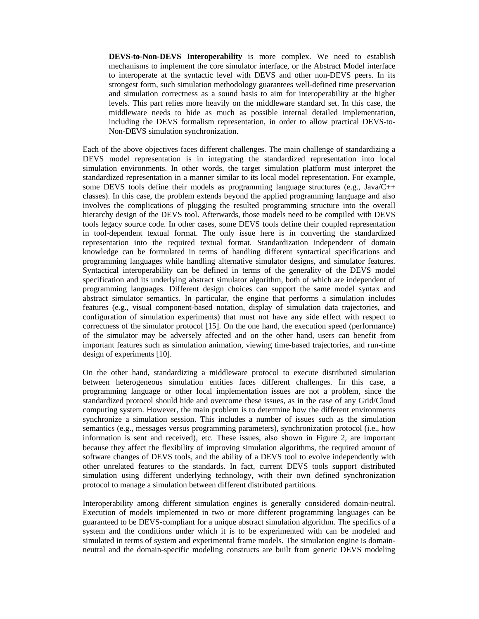**DEVS-to-Non-DEVS Interoperability** is more complex. We need to establish mechanisms to implement the core simulator interface, or the Abstract Model interface to interoperate at the syntactic level with DEVS and other non-DEVS peers. In its strongest form, such simulation methodology guarantees well-defined time preservation and simulation correctness as a sound basis to aim for interoperability at the higher levels. This part relies more heavily on the middleware standard set. In this case, the middleware needs to hide as much as possible internal detailed implementation, including the DEVS formalism representation, in order to allow practical DEVS-to-Non-DEVS simulation synchronization.

Each of the above objectives faces different challenges. The main challenge of standardizing a DEVS model representation is in integrating the standardized representation into local simulation environments. In other words, the target simulation platform must interpret the standardized representation in a manner similar to its local model representation. For example, some DEVS tools define their models as programming language structures (e.g., Java/C++ classes). In this case, the problem extends beyond the applied programming language and also involves the complications of plugging the resulted programming structure into the overall hierarchy design of the DEVS tool. Afterwards, those models need to be compiled with DEVS tools legacy source code. In other cases, some DEVS tools define their coupled representation in tool-dependent textual format. The only issue here is in converting the standardized representation into the required textual format. Standardization independent of domain knowledge can be formulated in terms of handling different syntactical specifications and programming languages while handling alternative simulator designs, and simulator features. Syntactical interoperability can be defined in terms of the generality of the DEVS model specification and its underlying abstract simulator algorithm, both of which are independent of programming languages. Different design choices can support the same model syntax and abstract simulator semantics. In particular, the engine that performs a simulation includes features (e.g., visual component-based notation, display of simulation data trajectories, and configuration of simulation experiments) that must not have any side effect with respect to correctness of the simulator protocol [15]. On the one hand, the execution speed (performance) of the simulator may be adversely affected and on the other hand, users can benefit from important features such as simulation animation, viewing time-based trajectories, and run-time design of experiments [10].

On the other hand, standardizing a middleware protocol to execute distributed simulation between heterogeneous simulation entities faces different challenges. In this case, a programming language or other local implementation issues are not a problem, since the standardized protocol should hide and overcome these issues, as in the case of any Grid/Cloud computing system. However, the main problem is to determine how the different environments synchronize a simulation session. This includes a number of issues such as the simulation semantics (e.g., messages versus programming parameters), synchronization protocol (i.e., how information is sent and received), etc. These issues, also shown in Figure 2, are important because they affect the flexibility of improving simulation algorithms, the required amount of software changes of DEVS tools, and the ability of a DEVS tool to evolve independently with other unrelated features to the standards. In fact, current DEVS tools support distributed simulation using different underlying technology, with their own defined synchronization protocol to manage a simulation between different distributed partitions.

Interoperability among different simulation engines is generally considered domain-neutral. Execution of models implemented in two or more different programming languages can be guaranteed to be DEVS-compliant for a unique abstract simulation algorithm. The specifics of a system and the conditions under which it is to be experimented with can be modeled and simulated in terms of system and experimental frame models. The simulation engine is domainneutral and the domain-specific modeling constructs are built from generic DEVS modeling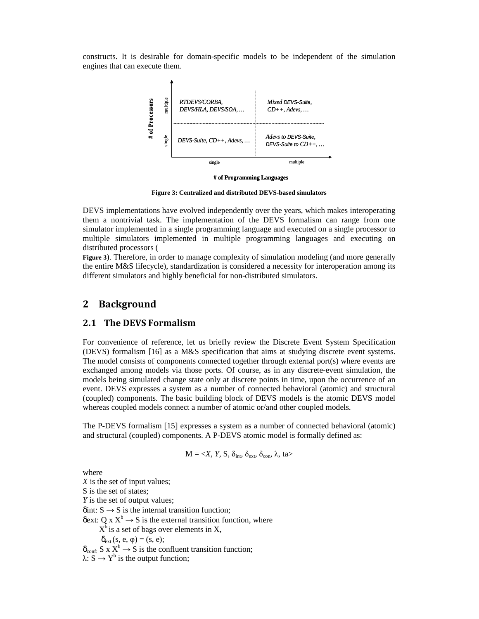constructs. It is desirable for domain-specific models to be independent of the simulation engines that can execute them.



**# of Programming Languages** 

**Figure 3: Centralized and distributed DEVS-based simulators** 

DEVS implementations have evolved independently over the years, which makes interoperating them a nontrivial task. The implementation of the DEVS formalism can range from one simulator implemented in a single programming language and executed on a single processor to multiple simulators implemented in multiple programming languages and executing on distributed processors (

**Figure 3**). Therefore, in order to manage complexity of simulation modeling (and more generally the entire M&S lifecycle), standardization is considered a necessity for interoperation among its different simulators and highly beneficial for non-distributed simulators.

### **2 Background**

### **2.1 The DEVS Formalism**

For convenience of reference, let us briefly review the Discrete Event System Specification (DEVS) formalism [16] as a M&S specification that aims at studying discrete event systems. The model consists of components connected together through external port(s) where events are exchanged among models via those ports. Of course, as in any discrete-event simulation, the models being simulated change state only at discrete points in time, upon the occurrence of an event. DEVS expresses a system as a number of connected behavioral (atomic) and structural (coupled) components. The basic building block of DEVS models is the atomic DEVS model whereas coupled models connect a number of atomic or/and other coupled models.

The P-DEVS formalism [15] expresses a system as a number of connected behavioral (atomic) and structural (coupled) components. A P-DEVS atomic model is formally defined as:

$$
M = \langle X, Y, S, \delta_{\text{int}}, \delta_{\text{ext}}, \delta_{\text{con}}, \lambda, ta \rangle
$$

where *X* is the set of input values; S is the set of states; *Y* is the set of output values;  $\delta$ int:  $S \rightarrow S$  is the internal transition function; δext: Q x  $X^b \rightarrow S$  is the external transition function, where  $X^b$  is a set of bags over elements in X,  $\delta_{ext}(s, e, \varphi) = (s, e);$  $\delta_{\text{conf:}}$  S x  $X^b \rightarrow S$  is the confluent transition function;  $\lambda$ : S  $\rightarrow$  Y<sup>b</sup> is the output function; is the output function; single multiple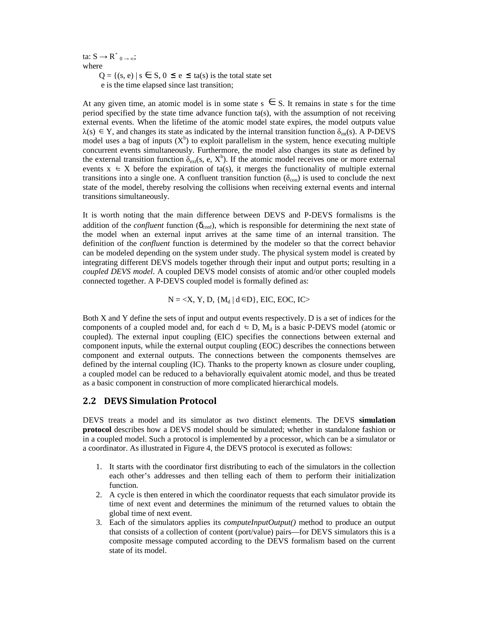ta:  $S \rightarrow R^+$ <sub>0 → ∞</sub>; where  $Q = \{(s, e) | s \in S, 0 \le e \le ta(s) \text{ is the total state set }\}$ e is the time elapsed since last transition;

At any given time, an atomic model is in some state  $s \in S$ . It remains in state s for the time period specified by the state time advance function  $ta(s)$ , with the assumption of not receiving external events. When the lifetime of the atomic model state expires, the model outputs value  $\lambda(s) \in Y$ , and changes its state as indicated by the internal transition function  $\delta_{int}(s)$ . A P-DEVS model uses a bag of inputs  $(X^b)$  to exploit parallelism in the system, hence executing multiple concurrent events simultaneously. Furthermore, the model also changes its state as defined by the external transition function  $\delta_{ext}(s, e, X^b)$ . If the atomic model receives one or more external events  $x \in X$  before the expiration of ta(s), it merges the functionality of multiple external transitions into a single one. A confluent transition function ( $\delta_{\text{con}}$ ) is used to conclude the next state of the model, thereby resolving the collisions when receiving external events and internal transitions simultaneously.

It is worth noting that the main difference between DEVS and P-DEVS formalisms is the addition of the *confluent* function ( $\delta_{\text{conf}}$ ), which is responsible for determining the next state of the model when an external input arrives at the same time of an internal transition. The definition of the *confluent* function is determined by the modeler so that the correct behavior can be modeled depending on the system under study. The physical system model is created by integrating different DEVS models together through their input and output ports; resulting in a *coupled DEVS model*. A coupled DEVS model consists of atomic and/or other coupled models connected together. A P-DEVS coupled model is formally defined as:

$$
N = \langle X, Y, D, \{M_d \mid d \in D\}, EIC, EOC, IC \rangle
$$

Both X and Y define the sets of input and output events respectively. D is a set of indices for the components of a coupled model and, for each  $d \in D$ ,  $M_d$  is a basic P-DEVS model (atomic or coupled). The external input coupling (EIC) specifies the connections between external and component inputs, while the external output coupling (EOC) describes the connections between component and external outputs. The connections between the components themselves are defined by the internal coupling (IC). Thanks to the property known as closure under coupling, a coupled model can be reduced to a behaviorally equivalent atomic model, and thus be treated as a basic component in construction of more complicated hierarchical models.

### **2.2 DEVS Simulation Protocol**

DEVS treats a model and its simulator as two distinct elements. The DEVS **simulation protocol** describes how a DEVS model should be simulated; whether in standalone fashion or in a coupled model. Such a protocol is implemented by a processor, which can be a simulator or a coordinator. As illustrated in Figure 4, the DEVS protocol is executed as follows:

- 1. It starts with the coordinator first distributing to each of the simulators in the collection each other's addresses and then telling each of them to perform their initialization function.
- 2. A cycle is then entered in which the coordinator requests that each simulator provide its time of next event and determines the minimum of the returned values to obtain the global time of next event.
- 3. Each of the simulators applies its *computeInputOutput()* method to produce an output that consists of a collection of content (port/value) pairs—for DEVS simulators this is a composite message computed according to the DEVS formalism based on the current state of its model.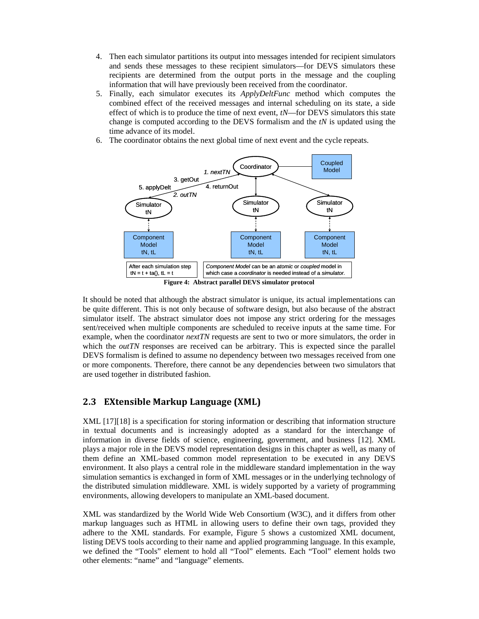- 4. Then each simulator partitions its output into messages intended for recipient simulators and sends these messages to these recipient simulators—for DEVS simulators these recipients are determined from the output ports in the message and the coupling information that will have previously been received from the coordinator.
- 5. Finally, each simulator executes its *ApplyDeltFunc* method which computes the combined effect of the received messages and internal scheduling on its state, a side effect of which is to produce the time of next event, *tN*—for DEVS simulators this state change is computed according to the DEVS formalism and the *tN* is updated using the time advance of its model.
- 6. The coordinator obtains the next global time of next event and the cycle repeats.



**Figure 4: Abstract parallel DEVS simulator protocol** 

It should be noted that although the abstract simulator is unique, its actual implementations can be quite different. This is not only because of software design, but also because of the abstract simulator itself. The abstract simulator does not impose any strict ordering for the messages sent/received when multiple components are scheduled to receive inputs at the same time. For example, when the coordinator *nextTN* requests are sent to two or more simulators, the order in which the *outTN* responses are received can be arbitrary. This is expected since the parallel DEVS formalism is defined to assume no dependency between two messages received from one or more components. Therefore, there cannot be any dependencies between two simulators that are used together in distributed fashion.

### **2.3 EXtensible Markup Language (XML)**

XML [17][18] is a specification for storing information or describing that information structure in textual documents and is increasingly adopted as a standard for the interchange of information in diverse fields of science, engineering, government, and business [12]. XML plays a major role in the DEVS model representation designs in this chapter as well, as many of them define an XML-based common model representation to be executed in any DEVS environment. It also plays a central role in the middleware standard implementation in the way simulation semantics is exchanged in form of XML messages or in the underlying technology of the distributed simulation middleware. XML is widely supported by a variety of programming environments, allowing developers to manipulate an XML-based document.

XML was standardized by the World Wide Web Consortium (W3C), and it differs from other markup languages such as HTML in allowing users to define their own tags, provided they adhere to the XML standards. For example, Figure 5 shows a customized XML document, listing DEVS tools according to their name and applied programming language. In this example, we defined the "Tools" element to hold all "Tool" elements. Each "Tool" element holds two other elements: "name" and "language" elements.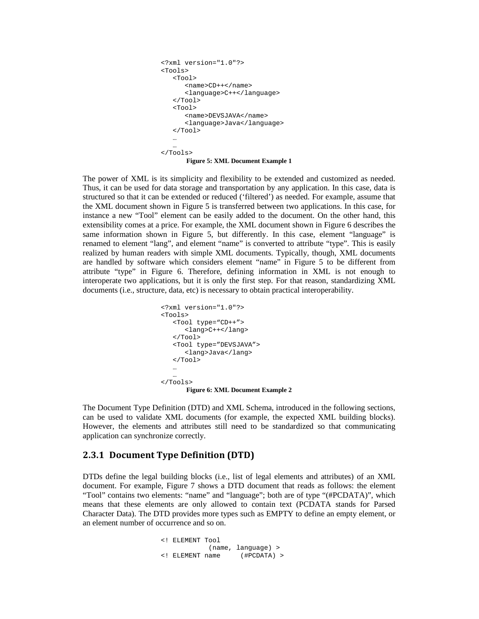```
<?xml version="1.0"?> 
<Tools> 
    <Tool> 
        <name>CD++</name> 
        <language>C++</language> 
    </Tool> 
    <Tool> 
        <name>DEVSJAVA</name> 
        <language>Java</language> 
    </Tool> 
    … 
 … 
</Tools>
       Figure 5: XML Document Example 1
```
The power of XML is its simplicity and flexibility to be extended and customized as needed. Thus, it can be used for data storage and transportation by any application. In this case, data is structured so that it can be extended or reduced ('filtered') as needed. For example, assume that the XML document shown in Figure 5 is transferred between two applications. In this case, for instance a new "Tool" element can be easily added to the document. On the other hand, this extensibility comes at a price. For example, the XML document shown in Figure 6 describes the same information shown in Figure 5, but differently. In this case, element "language" is renamed to element "lang", and element "name" is converted to attribute "type". This is easily realized by human readers with simple XML documents. Typically, though, XML documents are handled by software which considers element "name" in Figure 5 to be different from attribute "type" in Figure 6. Therefore, defining information in XML is not enough to interoperate two applications, but it is only the first step. For that reason, standardizing XML documents (i.e., structure, data, etc) is necessary to obtain practical interoperability.

```
<?xml version="1.0"?> 
<Tools> 
    <Tool type="CD++"> 
       <lang>C++</lang> 
    </Tool> 
    <Tool type="DEVSJAVA"> 
       <lang>Java</lang> 
    </Tool> 
    … 
 … 
</Tools>
       Figure 6: XML Document Example 2
```
The Document Type Definition (DTD) and XML Schema, introduced in the following sections, can be used to validate XML documents (for example, the expected XML building blocks). However, the elements and attributes still need to be standardized so that communicating application can synchronize correctly.

### **2.3.1 Document Type Definition (DTD)**

DTDs define the legal building blocks (i.e., list of legal elements and attributes) of an XML document. For example, Figure 7 shows a DTD document that reads as follows: the element "Tool" contains two elements: "name" and "language"; both are of type "(#PCDATA)", which means that these elements are only allowed to contain text (PCDATA stands for Parsed Character Data). The DTD provides more types such as EMPTY to define an empty element, or an element number of occurrence and so on.

```
<! ELEMENT Tool 
                (name, language) ><br>name (#PCDATA) >
<! ELEMENT name
```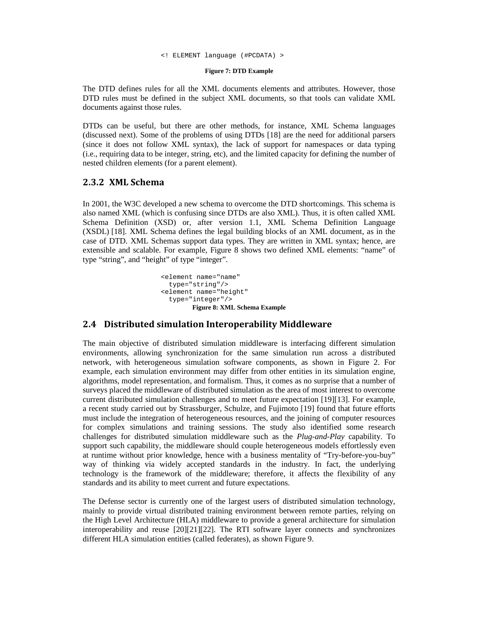<! ELEMENT language (#PCDATA) >

#### **Figure 7: DTD Example**

The DTD defines rules for all the XML documents elements and attributes. However, those DTD rules must be defined in the subject XML documents, so that tools can validate XML documents against those rules.

DTDs can be useful, but there are other methods, for instance, XML Schema languages (discussed next). Some of the problems of using DTDs [18] are the need for additional parsers (since it does not follow XML syntax), the lack of support for namespaces or data typing (i.e., requiring data to be integer, string, etc), and the limited capacity for defining the number of nested children elements (for a parent element).

### **2.3.2 XML Schema**

In 2001, the W3C developed a new schema to overcome the DTD shortcomings. This schema is also named XML (which is confusing since DTDs are also XML). Thus, it is often called XML Schema Definition (XSD) or, after version 1.1, XML Schema Definition Language (XSDL) [18]. XML Schema defines the legal building blocks of an XML document, as in the case of DTD. XML Schemas support data types. They are written in XML syntax; hence, are extensible and scalable. For example, Figure 8 shows two defined XML elements: "name" of type "string", and "height" of type "integer".

> <element name="name" type="string"/> <element name="height" type="integer"/> **Figure 8: XML Schema Example**

### **2.4 Distributed simulation Interoperability Middleware**

The main objective of distributed simulation middleware is interfacing different simulation environments, allowing synchronization for the same simulation run across a distributed network, with heterogeneous simulation software components, as shown in Figure 2. For example, each simulation environment may differ from other entities in its simulation engine, algorithms, model representation, and formalism. Thus, it comes as no surprise that a number of surveys placed the middleware of distributed simulation as the area of most interest to overcome current distributed simulation challenges and to meet future expectation [19][13]. For example, a recent study carried out by Strassburger, Schulze, and Fujimoto [19] found that future efforts must include the integration of heterogeneous resources, and the joining of computer resources for complex simulations and training sessions. The study also identified some research challenges for distributed simulation middleware such as the *Plug-and-Play* capability. To support such capability, the middleware should couple heterogeneous models effortlessly even at runtime without prior knowledge, hence with a business mentality of "Try-before-you-buy" way of thinking via widely accepted standards in the industry. In fact, the underlying technology is the framework of the middleware; therefore, it affects the flexibility of any standards and its ability to meet current and future expectations.

The Defense sector is currently one of the largest users of distributed simulation technology, mainly to provide virtual distributed training environment between remote parties, relying on the High Level Architecture (HLA) middleware to provide a general architecture for simulation interoperability and reuse [20][21][22]. The RTI software layer connects and synchronizes different HLA simulation entities (called federates), as shown Figure 9.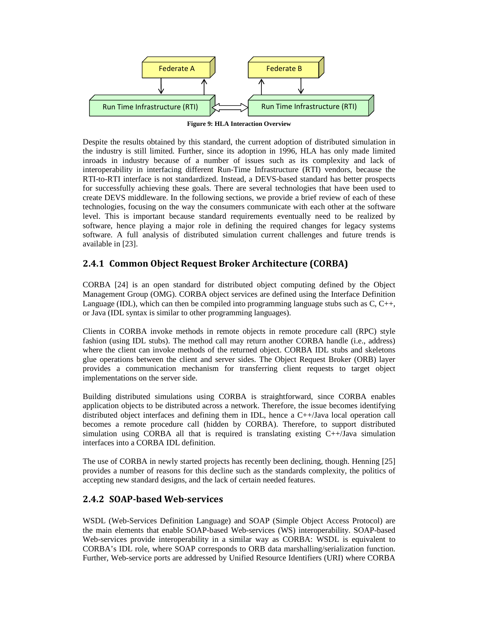

**Figure 9: HLA Interaction Overview** 

Despite the results obtained by this standard, the current adoption of distributed simulation in the industry is still limited. Further, since its adoption in 1996, HLA has only made limited inroads in industry because of a number of issues such as its complexity and lack of interoperability in interfacing different Run-Time Infrastructure (RTI) vendors, because the RTI-to-RTI interface is not standardized. Instead, a DEVS-based standard has better prospects for successfully achieving these goals. There are several technologies that have been used to create DEVS middleware. In the following sections, we provide a brief review of each of these technologies, focusing on the way the consumers communicate with each other at the software level. This is important because standard requirements eventually need to be realized by software, hence playing a major role in defining the required changes for legacy systems software. A full analysis of distributed simulation current challenges and future trends is available in [23].

### **2.4.1 Common Object Request Broker Architecture (CORBA)**

CORBA [24] is an open standard for distributed object computing defined by the Object Management Group (OMG). CORBA object services are defined using the Interface Definition Language (IDL), which can then be compiled into programming language stubs such as  $C, C++,$ or Java (IDL syntax is similar to other programming languages).

Clients in CORBA invoke methods in remote objects in remote procedure call (RPC) style fashion (using IDL stubs). The method call may return another CORBA handle (i.e., address) where the client can invoke methods of the returned object. CORBA IDL stubs and skeletons glue operations between the client and server sides. The Object Request Broker (ORB) layer provides a communication mechanism for transferring client requests to target object implementations on the server side.

Building distributed simulations using CORBA is straightforward, since CORBA enables application objects to be distributed across a network. Therefore, the issue becomes identifying distributed object interfaces and defining them in IDL, hence a C++/Java local operation call becomes a remote procedure call (hidden by CORBA). Therefore, to support distributed simulation using CORBA all that is required is translating existing  $C++/Java$  simulation interfaces into a CORBA IDL definition.

The use of CORBA in newly started projects has recently been declining, though. Henning [25] provides a number of reasons for this decline such as the standards complexity, the politics of accepting new standard designs, and the lack of certain needed features.

### **2.4.2 SOAP-based Web-services**

WSDL (Web-Services Definition Language) and SOAP (Simple Object Access Protocol) are the main elements that enable SOAP-based Web-services (WS) interoperability. SOAP-based Web-services provide interoperability in a similar way as CORBA: WSDL is equivalent to CORBA's IDL role, where SOAP corresponds to ORB data marshalling/serialization function. Further, Web-service ports are addressed by Unified Resource Identifiers (URI) where CORBA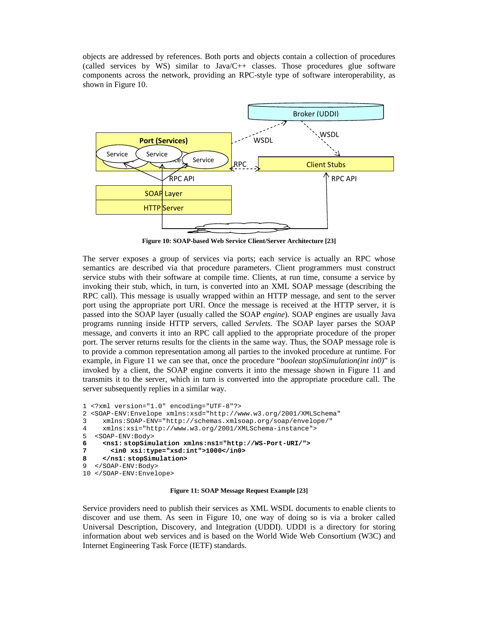objects are addressed by references. Both ports and objects contain a collection of procedures (called services by WS) similar to Java/C++ classes. Those procedures glue software components across the network, providing an RPC-style type of software interoperability, as shown in Figure 10.



**Figure 10: SOAP-based Web Service Client/Server Architecture [23]** 

The server exposes a group of services via ports; each service is actually an RPC whose semantics are described via that procedure parameters. Client programmers must construct service stubs with their software at compile time. Clients, at run time, consume a service by invoking their stub, which, in turn, is converted into an XML SOAP message (describing the RPC call). This message is usually wrapped within an HTTP message, and sent to the server port using the appropriate port URI. Once the message is received at the HTTP server, it is passed into the SOAP layer (usually called the SOAP *engine*). SOAP engines are usually Java programs running inside HTTP servers, called *Servlets*. The SOAP layer parses the SOAP message, and converts it into an RPC call applied to the appropriate procedure of the proper port. The server returns results for the clients in the same way. Thus, the SOAP message role is to provide a common representation among all parties to the invoked procedure at runtime. For example, in Figure 11 we can see that, once the procedure "*boolean stopSimulation(int in0)*" is invoked by a client, the SOAP engine converts it into the message shown in Figure 11 and transmits it to the server, which in turn is converted into the appropriate procedure call. The server subsequently replies in a similar way.

```
1 <?xml version="1.0" encoding="UTF-8"?> 
2 <SOAP-ENV:Envelope xmlns:xsd="http://www.w3.org/2001/XMLSchema" 
3 xmlns:SOAP-ENV="http://schemas.xmlsoap.org/soap/envelope/" 
4 xmlns:xsi="http://www.w3.org/2001/XMLSchema-instance"> 
5 <SOAP-ENV:Body> 
6 <ns1: stopSimulation xmlns:ns1="http://WS-Port-URI/"> 
7 <in0 xsi:type="xsd:int">1000</in0> 
8 </ns1: stopSimulation> 
9 </SOAP-ENV:Body> 
10 </SOAP-ENV:Envelope>
```
#### **Figure 11: SOAP Message Request Example [23]**

Service providers need to publish their services as XML WSDL documents to enable clients to discover and use them. As seen in Figure 10, one way of doing so is via a broker called Universal Description, Discovery, and Integration (UDDI). UDDI is a directory for storing information about web services and is based on the World Wide Web Consortium (W3C) and Internet Engineering Task Force (IETF) standards.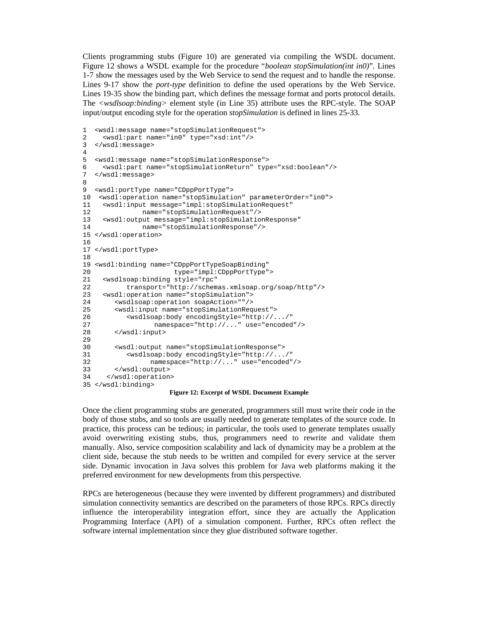Clients programming stubs (Figure 10) are generated via compiling the WSDL document. Figure 12 shows a WSDL example for the procedure "*boolean stopSimulation(int in0)*". Lines 1-7 show the messages used by the Web Service to send the request and to handle the response. Lines 9-17 show the *port-type* definition to define the used operations by the Web Service. Lines 19-35 show the binding part, which defines the message format and ports protocol details. The *<wsdlsoap:binding>* element style (in Line 35) attribute uses the RPC-style. The SOAP input/output encoding style for the operation *stopSimulation* is defined in lines 25-33.

```
1 <wsdl:message name="stopSimulationRequest"> 
2 <wsdl:part name="in0" type="xsd:int"/> 
3 </wsdl:message> 
4 
5 <wsdl:message name="stopSimulationResponse"> 
    6 <wsdl:part name="stopSimulationReturn" type="xsd:boolean"/> 
7 </wsdl:message> 
8 
9 <wsdl:portType name="CDppPortType"> 
10 <wsdl:operation name="stopSimulation" parameterOrder="in0"> 
11 <wsdl:input message="impl:stopSimulationRequest" 
12 name="stopSimulationRequest"/> 
13 <wsdl:output message="impl:stopSimulationResponse"<br>14 mame="stopSimulationResponse"/>
              14 name="stopSimulationResponse"/> 
15 </wsdl:operation> 
16 
17 </wsdl:portType> 
18 
19 <wsdl:binding name="CDppPortTypeSoapBinding" 
20 type="impl:CDppPortType"> 
21 <wsdlsoap:binding style="rpc" 
22 transport="http://schemas.xmlsoap.org/soap/http"/> 
23 <wsdl:operation name="stopSimulation"> 
24 <wsdlsoap:operation soapAction=""/> 
25 <wsdl:input name="stopSimulationRequest"> 
26 <wsdlsoap:body encodingStyle="http://.../" 
27 namespace="http://..." use="encoded"/> 
28 </wsdl:input> 
29 
30 <wsdl:output name="stopSimulationResponse">
31 <wsdlsoap:body encodingStyle="http://.../" 
32 namespace="http://..." use="encoded"/> 
33 </wsdl:output> 
34 </wsdl:operation> 
35 </wsdl:binding>
```
**Figure 12: Excerpt of WSDL Document Example** 

Once the client programming stubs are generated, programmers still must write their code in the body of those stubs, and so tools are usually needed to generate templates of the source code. In practice, this process can be tedious; in particular, the tools used to generate templates usually avoid overwriting existing stubs, thus, programmers need to rewrite and validate them manually. Also, service composition scalability and lack of dynamicity may be a problem at the client side, because the stub needs to be written and compiled for every service at the server side. Dynamic invocation in Java solves this problem for Java web platforms making it the preferred environment for new developments from this perspective.

RPCs are heterogeneous (because they were invented by different programmers) and distributed simulation connectivity semantics are described on the parameters of those RPCs. RPCs directly influence the interoperability integration effort, since they are actually the Application Programming Interface (API) of a simulation component. Further, RPCs often reflect the software internal implementation since they glue distributed software together.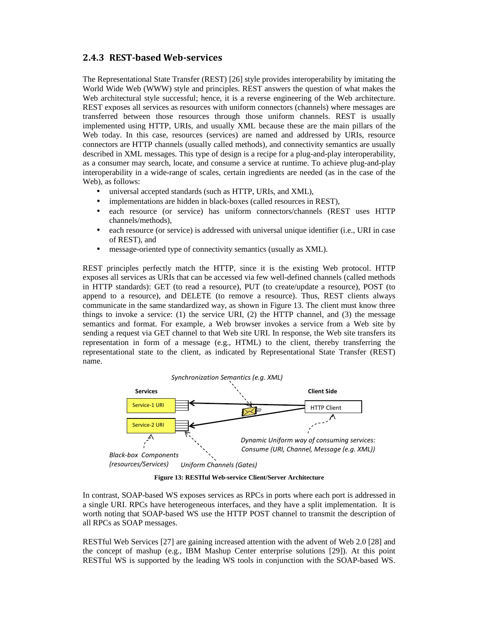### **2.4.3 REST-based Web-services**

The Representational State Transfer (REST) [26] style provides interoperability by imitating the World Wide Web (WWW) style and principles. REST answers the question of what makes the Web architectural style successful; hence, it is a reverse engineering of the Web architecture. REST exposes all services as resources with uniform connectors (channels) where messages are transferred between those resources through those uniform channels. REST is usually implemented using HTTP, URIs, and usually XML because these are the main pillars of the Web today. In this case, resources (services) are named and addressed by URIs, resource connectors are HTTP channels (usually called methods), and connectivity semantics are usually described in XML messages. This type of design is a recipe for a plug-and-play interoperability, as a consumer may search, locate, and consume a service at runtime. To achieve plug-and-play interoperability in a wide-range of scales, certain ingredients are needed (as in the case of the Web), as follows:

- universal accepted standards (such as HTTP, URIs, and XML),
- implementations are hidden in black-boxes (called resources in REST),
- each resource (or service) has uniform connectors/channels (REST uses HTTP channels/methods),
- each resource (or service) is addressed with universal unique identifier (i.e., URI in case of REST), and
- message-oriented type of connectivity semantics (usually as XML).

REST principles perfectly match the HTTP, since it is the existing Web protocol. HTTP exposes all services as URIs that can be accessed via few well-defined channels (called methods in HTTP standards): GET (to read a resource), PUT (to create/update a resource), POST (to append to a resource), and DELETE (to remove a resource). Thus, REST clients always communicate in the same standardized way, as shown in Figure 13. The client must know three things to invoke a service: (1) the service URI, (2) the HTTP channel, and (3) the message semantics and format. For example, a Web browser invokes a service from a Web site by sending a request via GET channel to that Web site URI. In response, the Web site transfers its representation in form of a message (e.g., HTML) to the client, thereby transferring the representational state to the client, as indicated by Representational State Transfer (REST) name.



**Figure 13: RESTful Web-service Client/Server Architecture** 

In contrast, SOAP-based WS exposes services as RPCs in ports where each port is addressed in a single URI. RPCs have heterogeneous interfaces, and they have a split implementation. It is worth noting that SOAP-based WS use the HTTP POST channel to transmit the description of all RPCs as SOAP messages.

RESTful Web Services [27] are gaining increased attention with the advent of Web 2.0 [28] and the concept of mashup (e.g., IBM Mashup Center enterprise solutions [29]). At this point RESTful WS is supported by the leading WS tools in conjunction with the SOAP-based WS.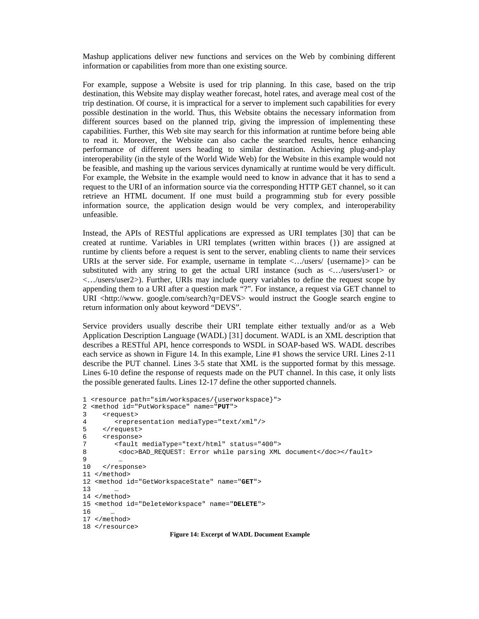Mashup applications deliver new functions and services on the Web by combining different information or capabilities from more than one existing source.

For example, suppose a Website is used for trip planning. In this case, based on the trip destination, this Website may display weather forecast, hotel rates, and average meal cost of the trip destination. Of course, it is impractical for a server to implement such capabilities for every possible destination in the world. Thus, this Website obtains the necessary information from different sources based on the planned trip, giving the impression of implementing these capabilities. Further, this Web site may search for this information at runtime before being able to read it. Moreover, the Website can also cache the searched results, hence enhancing performance of different users heading to similar destination. Achieving plug-and-play interoperability (in the style of the World Wide Web) for the Website in this example would not be feasible, and mashing up the various services dynamically at runtime would be very difficult. For example, the Website in the example would need to know in advance that it has to send a request to the URI of an information source via the corresponding HTTP GET channel, so it can retrieve an HTML document. If one must build a programming stub for every possible information source, the application design would be very complex, and interoperability unfeasible.

Instead, the APIs of RESTful applications are expressed as URI templates [30] that can be created at runtime. Variables in URI templates (written within braces {}) are assigned at runtime by clients before a request is sent to the server, enabling clients to name their services URIs at the server side. For example, username in template  $\langle \ldots / \text{users/} \rangle$  {username}  $>$  can be substituted with any string to get the actual URI instance (such as  $\lt$ .../users/user1> or <…/users/user2>). Further, URIs may include query variables to define the request scope by appending them to a URI after a question mark "?". For instance, a request via GET channel to URI <http://www. google.com/search?q=DEVS> would instruct the Google search engine to return information only about keyword "DEVS".

Service providers usually describe their URI template either textually and/or as a Web Application Description Language (WADL) [31] document. WADL is an XML description that describes a RESTful API, hence corresponds to WSDL in SOAP-based WS. WADL describes each service as shown in Figure 14. In this example, Line #1 shows the service URI. Lines 2-11 describe the PUT channel. Lines 3-5 state that XML is the supported format by this message. Lines 6-10 define the response of requests made on the PUT channel. In this case, it only lists the possible generated faults. Lines 12-17 define the other supported channels.

```
1 <resource path="sim/workspaces/{userworkspace}"> 
2 <method id="PutWorkspace" name="PUT"> 
3 <request> 
4 <representation mediaType="text/xml"/> 
5 </request>
6 <response> 
7 <fault mediaType="text/html" status="400"> 
8 <doc>BAD_REQUEST: Error while parsing XML document</doc></fault> 
9 … 
10 </response> 
11 </method> 
12 <method id="GetWorkspaceState" name="GET"> 
13 … 
14 </method> 
15 <method id="DeleteWorkspace" name="DELETE"> 
16 … 
17 </method> 
18 </resource>
```
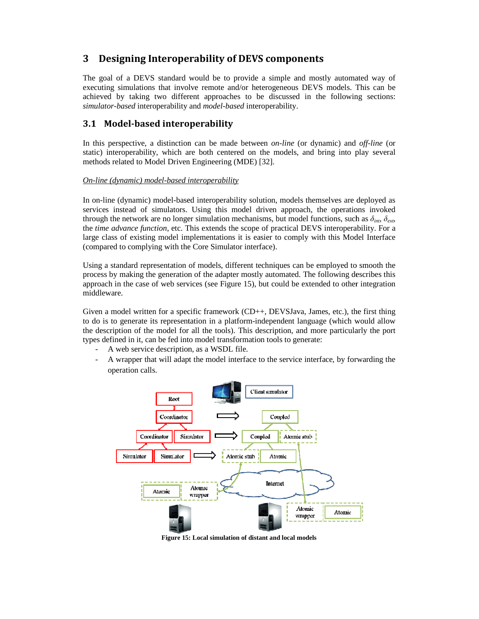# **3 Designing Interoperability of DEVS compone components**

The goal of a DEVS standard would be to provide a simple and mostly automated way of executing simulations that involve remote and/or heterogeneous DEVS models. This can be achieved by taking two different approaches to be discussed in the following sections: *simulator-based* interoperability and *model-based* interoperability. goal of a DEVS standard would be to provide a simple and mostly automated way of<br>uting simulations that involve remote and/or heterogeneous DEVS models. This can be<br>ved by taking two different approaches to be discussed in

## **3.1 Model-based interoperability based**

In this perspective, a distinction can be made between on-line (or dynamic) and static) interoperability, which are both centered on the models, and bring into play several methods related to Model Driven Engineering (MDE) [32]. methods related to Model Driven Engineering (MDE)

### *On-line (dynamic) model-based interoperability based*

In on-line (dynamic) model-based interoperability solution, models themselves are deployed as services instead of simulators. Using this model driven approach, the operations invoked In on-line (dynamic) model-based interoperability solution, models themselves are deployed as services instead of simulators. Using this model driven approach, the operations invoked through the network are no longer simu the *time advance function*, etc. This extends the scope of practical DEVS interoperability. For a large class of existing model implementations it is easier to comply with this Model Interface (compared to complying with large class of existing model implementations it is easier to comply with this Model Interface (compared to complying with the Core Simula

Using a standard representation of models, different techniques can be employed to smooth the process by making the generation of the adapter mostly automated. The following describes this approach in the case of web services (see Figure 15), but could be extended to other integration middleware. Using a standard representation of models, different techniques can be employed to smooth the process by making the generation of the adapter mostly automated. The following describes this approach in the case of web servi

Given a model written for a specific framework  $(CD++$ ,  $DEVS$  Java, James, etc.), the first thing Given a model written for a specific framework (CD++, DEVSJava, James, etc.), the first thing to do is to generate its representation in a platform-independent language (which would allow the description of the model for all the tools). This description, and more particularly the port the description of the model for all the tools). This description, and more types defined in it, can be fed into model transformation tools to generate:

- A web service description, as a WSDL file.
- A wrapper that will adapt the model interface to the service interface, by forwarding the operation calls.



**Figure 15 15: Local simulation of distant and local models**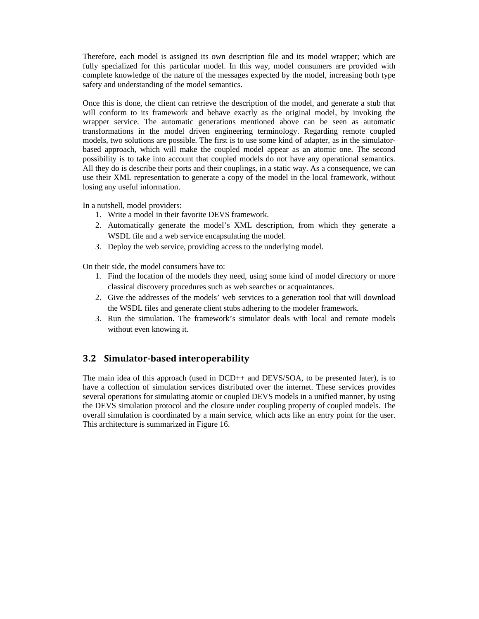Therefore, each model is assigned its own description file and its model wrapper; which are fully specialized for this particular model. In this way, model consumers are provided with complete knowledge of the nature of the messages expected by the model, increasing both type safety and understanding of the model semantics.

Once this is done, the client can retrieve the description of the model, and generate a stub that will conform to its framework and behave exactly as the original model, by invoking the wrapper service. The automatic generations mentioned above can be seen as automatic transformations in the model driven engineering terminology. Regarding remote coupled models, two solutions are possible. The first is to use some kind of adapter, as in the simulatorbased approach, which will make the coupled model appear as an atomic one. The second possibility is to take into account that coupled models do not have any operational semantics. All they do is describe their ports and their couplings, in a static way. As a consequence, we can use their XML representation to generate a copy of the model in the local framework, without losing any useful information.

In a nutshell, model providers:

- 1. Write a model in their favorite DEVS framework.
- 2. Automatically generate the model's XML description, from which they generate a WSDL file and a web service encapsulating the model.
- 3. Deploy the web service, providing access to the underlying model.

On their side, the model consumers have to:

- 1. Find the location of the models they need, using some kind of model directory or more classical discovery procedures such as web searches or acquaintances.
- 2. Give the addresses of the models' web services to a generation tool that will download the WSDL files and generate client stubs adhering to the modeler framework.
- 3. Run the simulation. The framework's simulator deals with local and remote models without even knowing it.

### **3.2 Simulator-based interoperability**

The main idea of this approach (used in DCD++ and DEVS/SOA, to be presented later), is to have a collection of simulation services distributed over the internet. These services provides several operations for simulating atomic or coupled DEVS models in a unified manner, by using the DEVS simulation protocol and the closure under coupling property of coupled models. The overall simulation is coordinated by a main service, which acts like an entry point for the user. This architecture is summarized in Figure 16.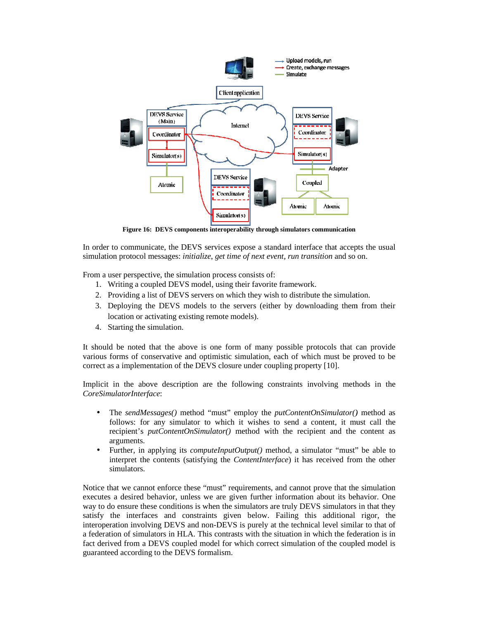

**Figure 16: DEVS components interoperability through simulators communication : components through simulators** 

In order to communicate, the DEVS services expose a standard interface that accepts the usual simulation protocol messages: *initialize* , *get time of next event*, *run transition* and so on.

From a user perspective, the simulation process consists of:

- 1. Writing a coupled DEVS model, using their favorite framework.
- 2. Providing a list of DEVS servers on which they wish to distribute the simulation.
- 3. Deploying the DEVS models to the servers (either by downloading them from their location or activating existing remote models) DEVS servers on which they wish to<br>US models to the servers (either by mg existing remote models).
- 4. Starting the simulation.

It should be noted that the above is one form of many possible protocols that can provide various forms of conservative and optimistic simulation, each of which must be proved to be correct as a implementation of the DEVS various forms of conservative and optimistic simulation, each of which must be proved to be correct as a implementation of the DEVS closure under coupling property [10]. to communicate, the DEVS services expose a standard interface that accomprotocol messages: *initialize, get time of next event, run transition* and ser perspective, the simulation process consists of: */riting a coupled DE* 

Implicit in the above description are the following constraints involving methods in the *CoreSimulatorInterface*: incomia) the above description are the following constraints involving methods in the *eSimulatorInterface*:<br>
• The *sendMessages()* method "must" employ the *putContentOnSimulator()* method as

- follows: for any simulator to which it wishes to send a content, it must call the recipient's *putContentOnSimulator()* method with the recipient and the content as arguments.
- Further, in applying its *computeInputOutput()* method, a simulator "must" be able to interpret the contents (satisfying the *ContentInterface*) it has received from the other simulators.

Notice that we cannot enforce these "must" requirements, and cannot prove that the simulation executes a desired behavior, unless we are given further information about its behavior. One executes a desired behavior, unless we are given further information about its behavior. One way to do ensure these conditions is when the simulators are truly DEVS simulators in that they satisfy the interfaces and constraints given below. Failing this additional rigor, the satisfy the interfaces and constraints given below. Failing this additional rigor, the interoperation involving DEVS and non-DEVS is purely at the technical level similar to that of a federation of simulators in HLA. This contrasts with the situation in which the federation is in a federation of simulators in HLA. This contrasts with the situation in which the federation is in fact derived from a DEVS coupled model for which correct simulation of the coupled model is guaranteed according to the DEVS formalism. *ntentOnSimulator*() method with the recipient and the content<br>mg its *computeInputOutput*() method, a simulator "must" be ablents (satisfying the *ContentInterface*) it has received from the c<br>orce these "must" requiremen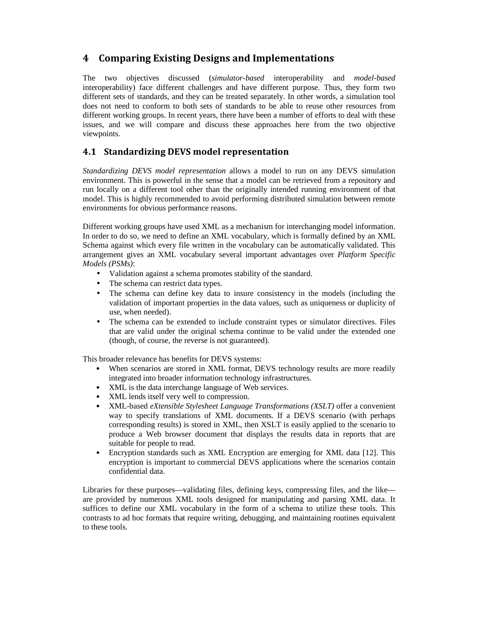# **4 Comparing Existing Designs and Implementations**

The two objectives discussed (*simulator-based* interoperability and *model-based* interoperability) face different challenges and have different purpose. Thus, they form two different sets of standards, and they can be treated separately. In other words, a simulation tool does not need to conform to both sets of standards to be able to reuse other resources from different working groups. In recent years, there have been a number of efforts to deal with these issues, and we will compare and discuss these approaches here from the two objective viewpoints.

### **4.1 Standardizing DEVS model representation**

*Standardizing DEVS model representation* allows a model to run on any DEVS simulation environment. This is powerful in the sense that a model can be retrieved from a repository and run locally on a different tool other than the originally intended running environment of that model. This is highly recommended to avoid performing distributed simulation between remote environments for obvious performance reasons.

Different working groups have used XML as a mechanism for interchanging model information. In order to do so, we need to define an XML vocabulary, which is formally defined by an XML Schema against which every file written in the vocabulary can be automatically validated. This arrangement gives an XML vocabulary several important advantages over *Platform Specific Models (PSMs)*:

- Validation against a schema promotes stability of the standard.
- The schema can restrict data types.
- The schema can define key data to insure consistency in the models (including the validation of important properties in the data values, such as uniqueness or duplicity of use, when needed).
- The schema can be extended to include constraint types or simulator directives. Files that are valid under the original schema continue to be valid under the extended one (though, of course, the reverse is not guaranteed).

This broader relevance has benefits for DEVS systems:

- When scenarios are stored in XML format, DEVS technology results are more readily integrated into broader information technology infrastructures.
- XML is the data interchange language of Web services.
- XML lends itself very well to compression.
- XML-based *eXtensible Stylesheet Language Transformations (XSLT)* offer a convenient way to specify translations of XML documents. If a DEVS scenario (with perhaps corresponding results) is stored in XML, then XSLT is easily applied to the scenario to produce a Web browser document that displays the results data in reports that are suitable for people to read.
- Encryption standards such as XML Encryption are emerging for XML data [12]. This encryption is important to commercial DEVS applications where the scenarios contain confidential data.

Libraries for these purposes—validating files, defining keys, compressing files, and the like are provided by numerous XML tools designed for manipulating and parsing XML data. It suffices to define our XML vocabulary in the form of a schema to utilize these tools. This contrasts to ad hoc formats that require writing, debugging, and maintaining routines equivalent to these tools.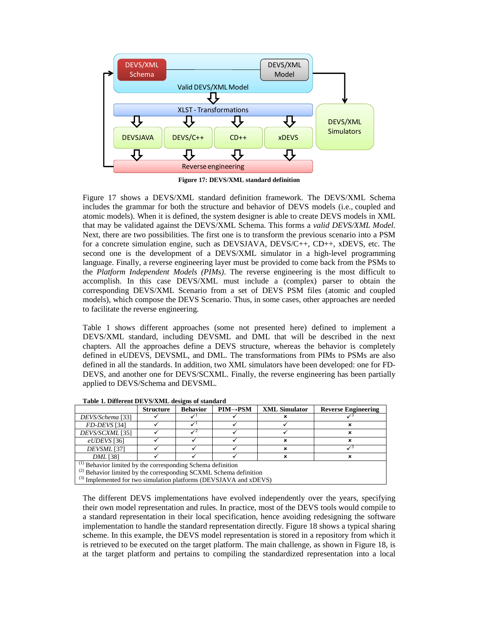

**Figure 17: DEVS/XML standard definition** 

Figure 17 shows a DEVS/XML standard definition framework. The DEVS/XML Schema includes the grammar for both the structure and behavior of DEVS models (i.e., coupled and atomic models). When it is defined, the system designer is able to create DEVS models in XML that may be validated against the DEVS/XML Schema. This forms a *valid DEVS/XML Model*. Next, there are two possibilities. The first one is to transform the previous scenario into a PSM for a concrete simulation engine, such as DEVSJAVA, DEVS/C++, CD++, xDEVS, etc. The second one is the development of a DEVS/XML simulator in a high-level programming language. Finally, a reverse engineering layer must be provided to come back from the PSMs to the *Platform Independent Models (PIMs)*. The reverse engineering is the most difficult to accomplish. In this case DEVS/XML must include a (complex) parser to obtain the corresponding DEVS/XML Scenario from a set of DEVS PSM files (atomic and coupled models), which compose the DEVS Scenario. Thus, in some cases, other approaches are needed to facilitate the reverse engineering.

Table 1 shows different approaches (some not presented here) defined to implement a DEVS/XML standard, including DEVSML and DML that will be described in the next chapters. All the approaches define a DEVS structure, whereas the behavior is completely defined in eUDEVS, DEVSML, and DML. The transformations from PIMs to PSMs are also defined in all the standards. In addition, two XML simulators have been developed: one for FD-DEVS, and another one for DEVS/SCXML. Finally, the reverse engineering has been partially applied to DEVS/Schema and DEVSML.

|                                                                              | <b>Structure</b> | <b>Behavior</b> | $PIM \rightarrow PSM$ | <b>XML Simulator</b> | <b>Reverse Engineering</b> |  |  |  |
|------------------------------------------------------------------------------|------------------|-----------------|-----------------------|----------------------|----------------------------|--|--|--|
| DEVS/Schema [33]                                                             |                  |                 |                       |                      |                            |  |  |  |
| FD-DEVS [34]                                                                 |                  |                 |                       |                      |                            |  |  |  |
| DEVS/SCXML [35]                                                              |                  |                 |                       |                      |                            |  |  |  |
| $e$ UDEVS [36]                                                               |                  |                 |                       | ×                    |                            |  |  |  |
| DEVSML [37]                                                                  |                  |                 |                       |                      |                            |  |  |  |
| $DML$ [38]                                                                   |                  |                 |                       |                      |                            |  |  |  |
| <sup>(1)</sup> Behavior limited by the corresponding Schema definition       |                  |                 |                       |                      |                            |  |  |  |
| $^{(2)}$ Behavior limited by the corresponding SCXML Schema definition       |                  |                 |                       |                      |                            |  |  |  |
| <sup>(3)</sup> Implemented for two simulation platforms (DEVSJAVA and xDEVS) |                  |                 |                       |                      |                            |  |  |  |

**Table 1. Different DEVS/XML designs of standard** 

The different DEVS implementations have evolved independently over the years, specifying their own model representation and rules. In practice, most of the DEVS tools would compile to a standard representation in their local specification, hence avoiding redesigning the software implementation to handle the standard representation directly. Figure 18 shows a typical sharing scheme. In this example, the DEVS model representation is stored in a repository from which it is retrieved to be executed on the target platform. The main challenge, as shown in Figure 18, is at the target platform and pertains to compiling the standardized representation into a local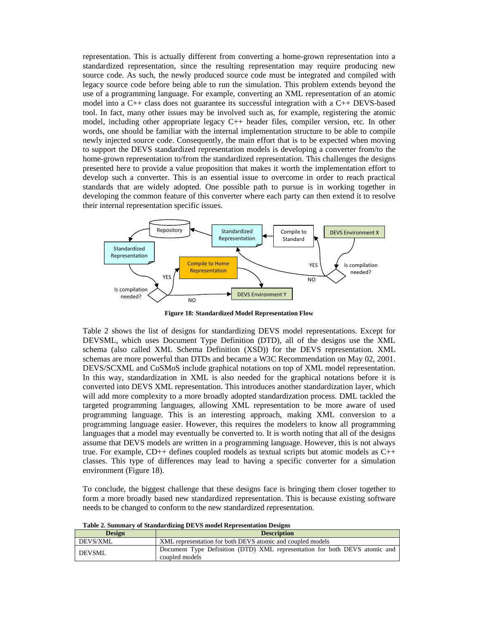representation. This is actually different from converting a home-grown representation into a standardized representation, since the resulting representation may require producing new source code. As such, the newly produced source code must be integrated and compiled with legacy source code before being able to run the simulation. This problem extends beyond the use of a programming language. For example, converting an XML representation of an atomic model into a  $C_{++}$  class does not guarantee its successful integration with a  $C_{++}$  DEVS-based tool. In fact, many other issues may be involved such as, for example, registering the atomic model, including other appropriate legacy C++ header files, compiler version, etc. In other words, one should be familiar with the internal implementation structure to be able to compile newly injected source code. Consequently, the main effort that is to be expected when moving to support the DEVS standardized representation models is developing a converter from/to the home-grown representation to/from the standardized representation. This challenges the designs presented here to provide a value proposition that makes it worth the implementation effort to develop such a converter. This is an essential issue to overcome in order to reach practical standards that are widely adopted. One possible path to pursue is in working together in developing the common feature of this converter where each party can then extend it to resolve their internal representation specific issues.



**Figure 18: Standardized Model Representation Flow** 

Table 2 shows the list of designs for standardizing DEVS model representations. Except for DEVSML, which uses Document Type Definition (DTD), all of the designs use the XML schema (also called XML Schema Definition (XSD)) for the DEVS representation. XML schemas are more powerful than DTDs and became a W3C Recommendation on May 02, 2001. DEVS/SCXML and CoSMoS include graphical notations on top of XML model representation. In this way, standardization in XML is also needed for the graphical notations before it is converted into DEVS XML representation. This introduces another standardization layer, which will add more complexity to a more broadly adopted standardization process. DML tackled the targeted programming languages, allowing XML representation to be more aware of used programming language. This is an interesting approach, making XML conversion to a programming language easier. However, this requires the modelers to know all programming languages that a model may eventually be converted to. It is worth noting that all of the designs assume that DEVS models are written in a programming language. However, this is not always true. For example, CD++ defines coupled models as textual scripts but atomic models as C++ classes. This type of differences may lead to having a specific converter for a simulation environment (Figure 18).

To conclude, the biggest challenge that these designs face is bringing them closer together to form a more broadly based new standardized representation. This is because existing software needs to be changed to conform to the new standardized representation.

| <b>Design</b> | <b>Description</b>                                                                           |  |  |  |  |
|---------------|----------------------------------------------------------------------------------------------|--|--|--|--|
| DEVS/XML      | XML representation for both DEVS atomic and coupled models                                   |  |  |  |  |
| <b>DEVSML</b> | Document Type Definition (DTD) XML representation for both DEVS atomic and<br>coupled models |  |  |  |  |

**Table 2. Summary of Standardizing DEVS model Representation Designs**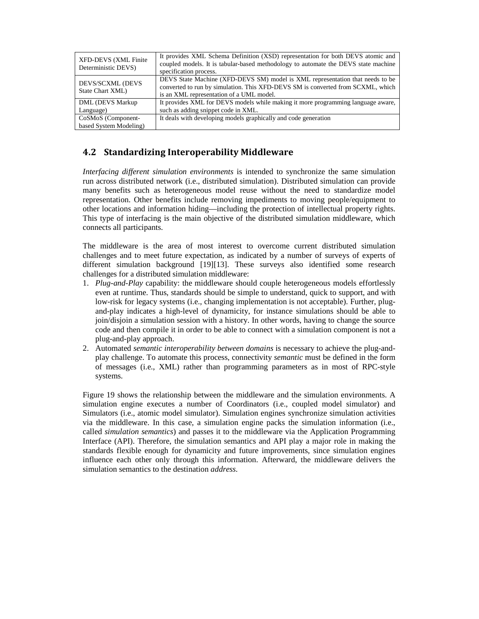| XFD-DEVS (XML Finite<br>Deterministic DEVS) | It provides XML Schema Definition (XSD) representation for both DEVS atomic and<br>coupled models. It is tabular-based methodology to automate the DEVS state machine<br>specification process.              |
|---------------------------------------------|--------------------------------------------------------------------------------------------------------------------------------------------------------------------------------------------------------------|
| DEVS/SCXML (DEVS<br><b>State Chart XML)</b> | DEVS State Machine (XFD-DEVS SM) model is XML representation that needs to be<br>converted to run by simulation. This XFD-DEVS SM is converted from SCXML, which<br>is an XML representation of a UML model. |
| DML (DEVS Markup)                           | It provides XML for DEVS models while making it more programming language aware,                                                                                                                             |
| Language)                                   | such as adding snippet code in XML.                                                                                                                                                                          |
| CoSMoS (Component-                          | It deals with developing models graphically and code generation                                                                                                                                              |
| based System Modeling)                      |                                                                                                                                                                                                              |

### **4.2 Standardizing Interoperability Middleware**

*Interfacing different simulation environments* is intended to synchronize the same simulation run across distributed network (i.e., distributed simulation). Distributed simulation can provide many benefits such as heterogeneous model reuse without the need to standardize model representation. Other benefits include removing impediments to moving people/equipment to other locations and information hiding—including the protection of intellectual property rights. This type of interfacing is the main objective of the distributed simulation middleware, which connects all participants.

The middleware is the area of most interest to overcome current distributed simulation challenges and to meet future expectation, as indicated by a number of surveys of experts of different simulation background [19][13]. These surveys also identified some research challenges for a distributed simulation middleware:

- 1. *Plug-and-Play* capability: the middleware should couple heterogeneous models effortlessly even at runtime. Thus, standards should be simple to understand, quick to support, and with low-risk for legacy systems (i.e., changing implementation is not acceptable). Further, plugand-play indicates a high-level of dynamicity, for instance simulations should be able to join/disjoin a simulation session with a history. In other words, having to change the source code and then compile it in order to be able to connect with a simulation component is not a plug-and-play approach.
- 2. Automated *semantic interoperability between domains* is necessary to achieve the plug-andplay challenge. To automate this process, connectivity *semantic* must be defined in the form of messages (i.e., XML) rather than programming parameters as in most of RPC-style systems.

Figure 19 shows the relationship between the middleware and the simulation environments. A simulation engine executes a number of Coordinators (i.e., coupled model simulator) and Simulators (i.e., atomic model simulator). Simulation engines synchronize simulation activities via the middleware. In this case, a simulation engine packs the simulation information (i.e., called *simulation semantics*) and passes it to the middleware via the Application Programming Interface (API). Therefore, the simulation semantics and API play a major role in making the standards flexible enough for dynamicity and future improvements, since simulation engines influence each other only through this information. Afterward, the middleware delivers the simulation semantics to the destination *address*.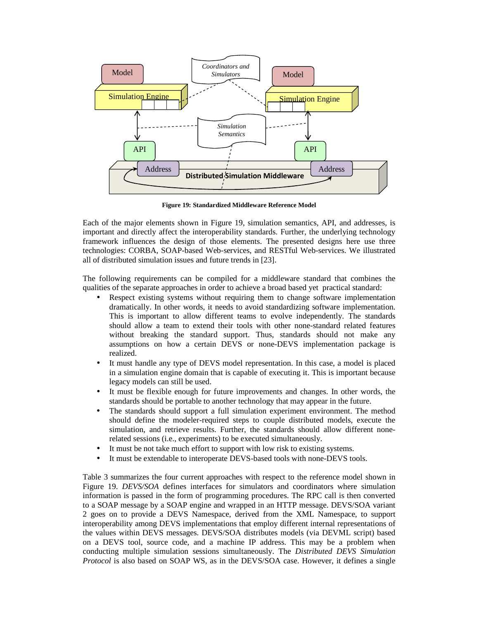

**Figure 19: Standardized Middleware Reference Model** 

Each of the major elements shown in Figure 19, simulation semantics, API, and addresses, is important and directly affect the interoperability standards. Further, the underlying technology framework influences the design of those elements. The presented designs here use three technologies: CORBA, SOAP-based Web-services, and RESTful Web-services. We illustrated all of distributed simulation issues and future trends in [23].

The following requirements can be compiled for a middleware standard that combines the qualities of the separate approaches in order to achieve a broad based yet practical standard:

- Respect existing systems without requiring them to change software implementation dramatically. In other words, it needs to avoid standardizing software implementation. This is important to allow different teams to evolve independently. The standards should allow a team to extend their tools with other none-standard related features without breaking the standard support. Thus, standards should not make any assumptions on how a certain DEVS or none-DEVS implementation package is realized.
- It must handle any type of DEVS model representation. In this case, a model is placed in a simulation engine domain that is capable of executing it. This is important because legacy models can still be used.
- It must be flexible enough for future improvements and changes. In other words, the standards should be portable to another technology that may appear in the future.
- The standards should support a full simulation experiment environment. The method should define the modeler-required steps to couple distributed models, execute the simulation, and retrieve results. Further, the standards should allow different nonerelated sessions (i.e., experiments) to be executed simultaneously.
- It must be not take much effort to support with low risk to existing systems.
- It must be extendable to interoperate DEVS-based tools with none-DEVS tools.

Table 3 summarizes the four current approaches with respect to the reference model shown in Figure 19. *DEVS/SOA* defines interfaces for simulators and coordinators where simulation information is passed in the form of programming procedures. The RPC call is then converted to a SOAP message by a SOAP engine and wrapped in an HTTP message. DEVS/SOA variant 2 goes on to provide a DEVS Namespace, derived from the XML Namespace, to support interoperability among DEVS implementations that employ different internal representations of the values within DEVS messages. DEVS/SOA distributes models (via DEVML script) based on a DEVS tool, source code, and a machine IP address. This may be a problem when conducting multiple simulation sessions simultaneously. The *Distributed DEVS Simulation Protocol* is also based on SOAP WS, as in the DEVS/SOA case. However, it defines a single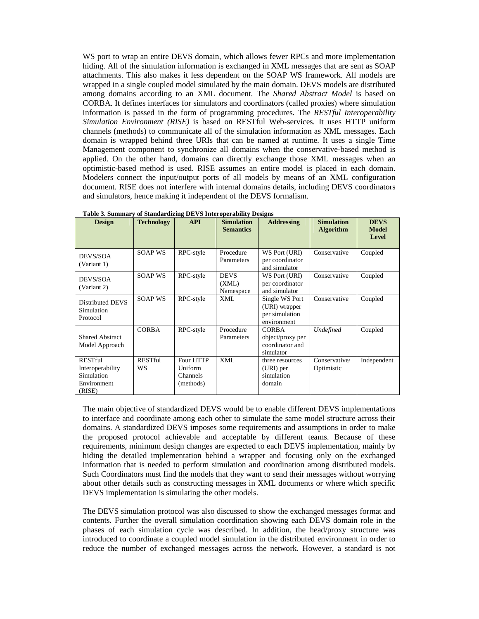WS port to wrap an entire DEVS domain, which allows fewer RPCs and more implementation hiding. All of the simulation information is exchanged in XML messages that are sent as SOAP attachments. This also makes it less dependent on the SOAP WS framework. All models are wrapped in a single coupled model simulated by the main domain. DEVS models are distributed among domains according to an XML document. The *Shared Abstract Model* is based on CORBA. It defines interfaces for simulators and coordinators (called proxies) where simulation information is passed in the form of programming procedures. The *RESTful Interoperability Simulation Environment (RISE)* is based on RESTful Web-services. It uses HTTP uniform channels (methods) to communicate all of the simulation information as XML messages. Each domain is wrapped behind three URIs that can be named at runtime. It uses a single Time Management component to synchronize all domains when the conservative-based method is applied. On the other hand, domains can directly exchange those XML messages when an optimistic-based method is used. RISE assumes an entire model is placed in each domain. Modelers connect the input/output ports of all models by means of an XML configuration document. RISE does not interfere with internal domains details, including DEVS coordinators and simulators, hence making it independent of the DEVS formalism.

| <b>Design</b>                                                                    | <b>Technology</b>    | <b>API</b>                                           | <b>Simulation</b><br><b>Semantics</b> | <b>Addressing</b>                                                | <b>Simulation</b><br><b>Algorithm</b> | <b>DEVS</b><br><b>Model</b><br>Level |
|----------------------------------------------------------------------------------|----------------------|------------------------------------------------------|---------------------------------------|------------------------------------------------------------------|---------------------------------------|--------------------------------------|
| DEVS/SOA<br>(Variant 1)                                                          | SOAP WS              | RPC-style                                            | Procedure<br>Parameters               | WS Port (URI)<br>per coordinator<br>and simulator                | Conservative                          | Coupled                              |
| DEVS/SOA<br>(Variant 2)                                                          | <b>SOAP WS</b>       | RPC-style                                            | <b>DEVS</b><br>(XML)<br>Namespace     | WS Port (URI)<br>per coordinator<br>and simulator                | Conservative                          | Coupled                              |
| Distributed DEVS<br><b>Simulation</b><br>Protocol                                | <b>SOAP WS</b>       | RPC-style                                            | <b>XML</b>                            | Single WS Port<br>(URI) wrapper<br>per simulation<br>environment | Conservative                          | Coupled                              |
| <b>Shared Abstract</b><br>Model Approach                                         | <b>CORBA</b>         | RPC-style                                            | Procedure<br>Parameters               | <b>CORBA</b><br>object/proxy per<br>coordinator and<br>simulator | Undefined                             | Coupled                              |
| <b>RESTful</b><br>Interoperability<br><b>Simulation</b><br>Environment<br>(RISE) | <b>RESTful</b><br>WS | Four HTTP<br>Uniform<br><b>Channels</b><br>(methods) | <b>XML</b>                            | three resources<br>(URI) per<br>simulation<br>domain             | Conservative/<br>Optimistic           | Independent                          |

**Table 3. Summary of Standardizing DEVS Interoperability Designs** 

The main objective of standardized DEVS would be to enable different DEVS implementations to interface and coordinate among each other to simulate the same model structure across their domains. A standardized DEVS imposes some requirements and assumptions in order to make the proposed protocol achievable and acceptable by different teams. Because of these requirements, minimum design changes are expected to each DEVS implementation, mainly by hiding the detailed implementation behind a wrapper and focusing only on the exchanged information that is needed to perform simulation and coordination among distributed models. Such Coordinators must find the models that they want to send their messages without worrying about other details such as constructing messages in XML documents or where which specific DEVS implementation is simulating the other models.

The DEVS simulation protocol was also discussed to show the exchanged messages format and contents. Further the overall simulation coordination showing each DEVS domain role in the phases of each simulation cycle was described. In addition, the head/proxy structure was introduced to coordinate a coupled model simulation in the distributed environment in order to reduce the number of exchanged messages across the network. However, a standard is not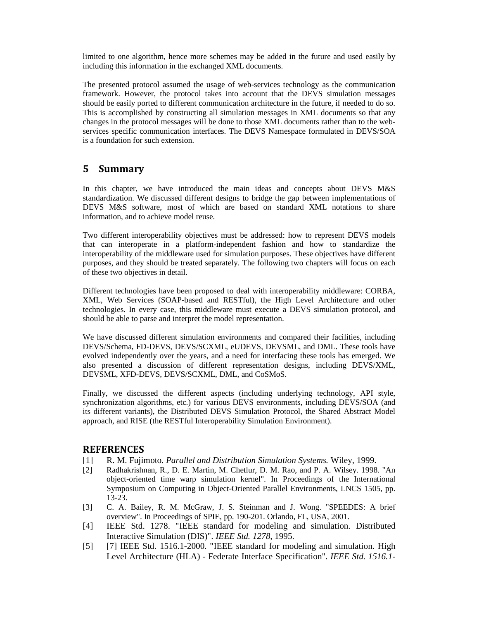limited to one algorithm, hence more schemes may be added in the future and used easily by including this information in the exchanged XML documents.

The presented protocol assumed the usage of web-services technology as the communication framework. However, the protocol takes into account that the DEVS simulation messages should be easily ported to different communication architecture in the future, if needed to do so. This is accomplished by constructing all simulation messages in XML documents so that any changes in the protocol messages will be done to those XML documents rather than to the webservices specific communication interfaces. The DEVS Namespace formulated in DEVS/SOA is a foundation for such extension.

## **5 Summary**

In this chapter, we have introduced the main ideas and concepts about DEVS M&S standardization. We discussed different designs to bridge the gap between implementations of DEVS M&S software, most of which are based on standard XML notations to share information, and to achieve model reuse.

Two different interoperability objectives must be addressed: how to represent DEVS models that can interoperate in a platform-independent fashion and how to standardize the interoperability of the middleware used for simulation purposes. These objectives have different purposes, and they should be treated separately. The following two chapters will focus on each of these two objectives in detail.

Different technologies have been proposed to deal with interoperability middleware: CORBA, XML, Web Services (SOAP-based and RESTful), the High Level Architecture and other technologies. In every case, this middleware must execute a DEVS simulation protocol, and should be able to parse and interpret the model representation.

We have discussed different simulation environments and compared their facilities, including DEVS/Schema, FD-DEVS, DEVS/SCXML, eUDEVS, DEVSML, and DML. These tools have evolved independently over the years, and a need for interfacing these tools has emerged. We also presented a discussion of different representation designs, including DEVS/XML, DEVSML, XFD-DEVS, DEVS/SCXML, DML, and CoSMoS.

Finally, we discussed the different aspects (including underlying technology, API style, synchronization algorithms, etc.) for various DEVS environments, including DEVS/SOA (and its different variants), the Distributed DEVS Simulation Protocol, the Shared Abstract Model approach, and RISE (the RESTful Interoperability Simulation Environment).

### **REFERENCES**

- [1] R. M. Fujimoto. *Parallel and Distribution Simulation Systems.* Wiley, 1999.
- [2] Radhakrishnan, R., D. E. Martin, M. Chetlur, D. M. Rao, and P. A. Wilsey. 1998. "An object-oriented time warp simulation kernel". In Proceedings of the International Symposium on Computing in Object-Oriented Parallel Environments, LNCS 1505, pp. 13-23.
- [3] C. A. Bailey, R. M. McGraw, J. S. Steinman and J. Wong. "SPEEDES: A brief overview". In Proceedings of SPIE, pp. 190-201. Orlando, FL, USA, 2001.
- [4] IEEE Std. 1278. "IEEE standard for modeling and simulation. Distributed Interactive Simulation (DIS)". *IEEE Std. 1278,* 1995.
- [5] [7] IEEE Std. 1516.1-2000. "IEEE standard for modeling and simulation. High Level Architecture (HLA) - Federate Interface Specification". *IEEE Std. 1516.1-*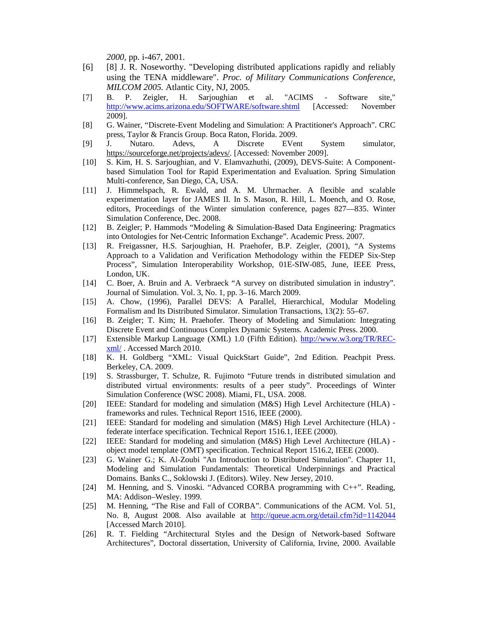*2000,* pp. i-467, 2001.

- [6] [8] J. R. Noseworthy. "Developing distributed applications rapidly and reliably using the TENA middleware". *Proc. of Military Communications Conference, MILCOM 2005.* Atlantic City, NJ, 2005.
- [7] B. P. Zeigler, H. Sarjoughian et al. "ACIMS Software site," http://www.acims.arizona.edu/SOFTWARE/software.shtml [Accessed: November 2009].
- [8] G. Wainer, "Discrete-Event Modeling and Simulation: A Practitioner's Approach". CRC press, Taylor & Francis Group. Boca Raton, Florida. 2009.
- [9] J. Nutaro. Adevs, A Discrete EVent System simulator, https://sourceforge.net/projects/adevs/. [Accessed: November 2009].
- [10] S. Kim, H. S. Sarjoughian, and V. Elamvazhuthi, (2009), DEVS-Suite: A Componentbased Simulation Tool for Rapid Experimentation and Evaluation. Spring Simulation Multi-conference, San Diego, CA, USA.
- [11] J. Himmelspach, R. Ewald, and A. M. Uhrmacher. A flexible and scalable experimentation layer for JAMES II. In S. Mason, R. Hill, L. Moench, and O. Rose, editors, Proceedings of the Winter simulation conference, pages 827—835. Winter Simulation Conference, Dec. 2008.
- [12] B. Zeigler; P. Hammods "Modeling & Simulation-Based Data Engineering: Pragmatics into Ontologies for Net-Centric Information Exchange". Academic Press. 2007.
- [13] R. Freigassner, H.S. Sarjoughian, H. Praehofer, B.P. Zeigler, (2001), "A Systems Approach to a Validation and Verification Methodology within the FEDEP Six-Step Process", Simulation Interoperability Workshop, 01E-SIW-085, June, IEEE Press, London, UK.
- [14] C. Boer, A. Bruin and A. Verbraeck "A survey on distributed simulation in industry". Journal of Simulation. Vol. 3, No. 1, pp. 3–16. March 2009.
- [15] A. Chow, (1996), Parallel DEVS: A Parallel, Hierarchical, Modular Modeling Formalism and Its Distributed Simulator. Simulation Transactions, 13(2): 55–67.
- [16] B. Zeigler; T. Kim; H. Praehofer. Theory of Modeling and Simulation: Integrating Discrete Event and Continuous Complex Dynamic Systems. Academic Press. 2000.
- [17] Extensible Markup Language (XML) 1.0 (Fifth Edition). http://www.w3.org/TR/RECxml/ . Accessed March 2010.
- [18] K. H. Goldberg "XML: Visual QuickStart Guide", 2nd Edition. Peachpit Press. Berkeley, CA. 2009.
- [19] S. Strassburger, T. Schulze, R. Fujimoto "Future trends in distributed simulation and distributed virtual environments: results of a peer study". Proceedings of Winter Simulation Conference (WSC 2008). Miami, FL, USA. 2008.
- [20] IEEE: Standard for modeling and simulation (M&S) High Level Architecture (HLA) frameworks and rules. Technical Report 1516, IEEE (2000).
- [21] IEEE: Standard for modeling and simulation (M&S) High Level Architecture (HLA) federate interface specification. Technical Report 1516.1, IEEE (2000).
- [22] IEEE: Standard for modeling and simulation (M&S) High Level Architecture (HLA) object model template (OMT) specification. Technical Report 1516.2, IEEE (2000).
- [23] G. Wainer G.; K. Al-Zoubi "An Introduction to Distributed Simulation". Chapter 11, Modeling and Simulation Fundamentals: Theoretical Underpinnings and Practical Domains. Banks C., Soklowski J. (Editors). Wiley. New Jersey, 2010.
- [24] M. Henning, and S. Vinoski. "Advanced CORBA programming with C++". Reading, MA: Addison–Wesley. 1999.
- [25] M. Henning, "The Rise and Fall of CORBA". Communications of the ACM. Vol. 51, No. 8, August 2008. Also available at http://queue.acm.org/detail.cfm?id=1142044 [Accessed March 2010].
- [26] R. T. Fielding "Architectural Styles and the Design of Network-based Software Architectures", Doctoral dissertation, University of California, Irvine, 2000. Available